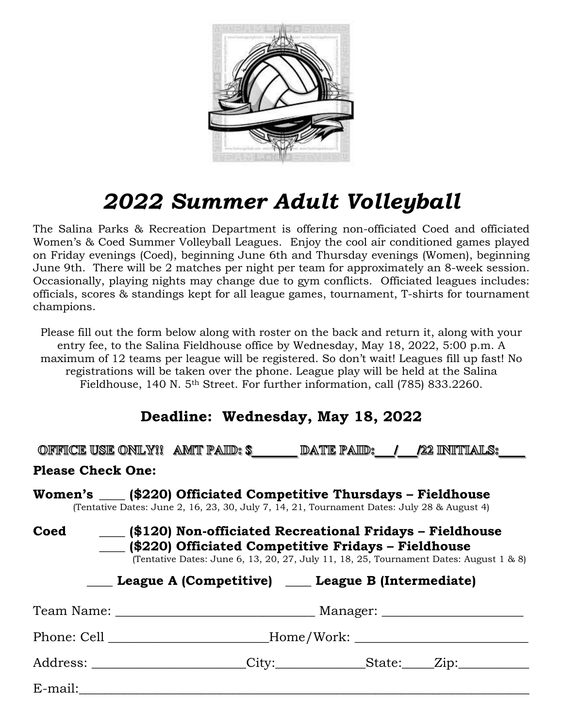

## *2022 Summer Adult Volleyball*

The Salina Parks & Recreation Department is offering non-officiated Coed and officiated Women's & Coed Summer Volleyball Leagues. Enjoy the cool air conditioned games played on Friday evenings (Coed), beginning June 6th and Thursday evenings (Women), beginning June 9th. There will be 2 matches per night per team for approximately an 8-week session. Occasionally, playing nights may change due to gym conflicts. Officiated leagues includes: officials, scores & standings kept for all league games, tournament, T-shirts for tournament champions.

Please fill out the form below along with roster on the back and return it, along with your entry fee, to the Salina Fieldhouse office by Wednesday, May 18, 2022, 5:00 p.m. A maximum of 12 teams per league will be registered. So don't wait! Leagues fill up fast! No registrations will be taken over the phone. League play will be held at the Salina Fieldhouse, 140 N. 5<sup>th</sup> Street. For further information, call (785) 833.2260.

## **Deadline: Wednesday, May 18, 2022**

|                                                                                                                                                                                                                                                                           |  | OFFICE USE ONLY!! AMIT PAID: \$                                                  |  |  | DATE PAID: / /22 INITIALS: |  |  |  |
|---------------------------------------------------------------------------------------------------------------------------------------------------------------------------------------------------------------------------------------------------------------------------|--|----------------------------------------------------------------------------------|--|--|----------------------------|--|--|--|
| <b>Please Check One:</b>                                                                                                                                                                                                                                                  |  |                                                                                  |  |  |                            |  |  |  |
| Women's ____ (\$220) Officiated Competitive Thursdays - Fieldhouse<br>(Tentative Dates: June 2, 16, 23, 30, July 7, 14, 21, Tournament Dates: July 28 & August 4)                                                                                                         |  |                                                                                  |  |  |                            |  |  |  |
| Coed<br>(\$120) Non-officiated Recreational Fridays – Fieldhouse<br>(\$220) Officiated Competitive Fridays – Fieldhouse<br>(Tentative Dates: June 6, 13, 20, 27, July 11, 18, 25, Tournament Dates: August 1 & 8)<br>League A (Competitive) _____ League B (Intermediate) |  |                                                                                  |  |  |                            |  |  |  |
|                                                                                                                                                                                                                                                                           |  |                                                                                  |  |  |                            |  |  |  |
|                                                                                                                                                                                                                                                                           |  | Phone: Cell __________________________Home/Work: _______________________________ |  |  |                            |  |  |  |
|                                                                                                                                                                                                                                                                           |  | Address: ____________________City:__________________State:_____Zip:_____________ |  |  |                            |  |  |  |
| E-mail:                                                                                                                                                                                                                                                                   |  |                                                                                  |  |  |                            |  |  |  |